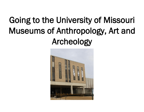## Going to the University of Missouri Museums of Anthropology, Art and Archeology

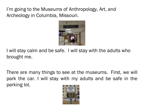I'm going to the Museums of Anthropology, Art, and Archeology in Columbia, Missouri.



I will stay calm and be safe. I will stay with the adults who brought me.

There are many things to see at the museums. First, we will park the car. I will stay with my adults and be safe in the parking lot.

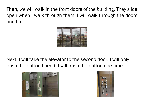Then, we will walk in the front doors of the building. They slide open when I walk through them. I will walk through the doors one time.



Next, I will take the elevator to the second floor. I will only push the button I need. I will push the button one time.



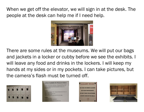When we get off the elevator, we will sign in at the desk. The people at the desk can help me if I need help.



There are some rules at the museums. We will put our bags and jackets in a locker or cubby before we see the exhibits. I will leave any food and drinks in the lockers. I will keep my hands at my sides or in my pockets. I can take pictures, but the camera's flash must be turned off.



| museum guard staff can assist with any problems, including cases of<br>forgotten passcodes.<br>1.) Select any available/open locker. Red light will flash for lockers already in use<br>2.) Press "ZEPHYR" button<br>3.) Enter self-selected 4 digit passcode<br>4.) Press "ZEPHYR" button<br>*Door must be completely closed and latched for lock to engage<br>1.) Press ZEPHYR" button<br>2.) Enter your self selected 4 digit passcode<br>3.) Press"ZEPHYR" button |                  | The lockers are considered "shared use". The user sets his/her own 4 digit<br>passcode. The passcode is erased after each opening of the locker. The |
|-----------------------------------------------------------------------------------------------------------------------------------------------------------------------------------------------------------------------------------------------------------------------------------------------------------------------------------------------------------------------------------------------------------------------------------------------------------------------|------------------|------------------------------------------------------------------------------------------------------------------------------------------------------|
|                                                                                                                                                                                                                                                                                                                                                                                                                                                                       |                  |                                                                                                                                                      |
|                                                                                                                                                                                                                                                                                                                                                                                                                                                                       |                  |                                                                                                                                                      |
|                                                                                                                                                                                                                                                                                                                                                                                                                                                                       | <b>To Close:</b> |                                                                                                                                                      |
|                                                                                                                                                                                                                                                                                                                                                                                                                                                                       |                  |                                                                                                                                                      |
|                                                                                                                                                                                                                                                                                                                                                                                                                                                                       |                  |                                                                                                                                                      |
|                                                                                                                                                                                                                                                                                                                                                                                                                                                                       |                  |                                                                                                                                                      |
|                                                                                                                                                                                                                                                                                                                                                                                                                                                                       |                  |                                                                                                                                                      |
|                                                                                                                                                                                                                                                                                                                                                                                                                                                                       | <b>To Open:</b>  |                                                                                                                                                      |
|                                                                                                                                                                                                                                                                                                                                                                                                                                                                       |                  |                                                                                                                                                      |
|                                                                                                                                                                                                                                                                                                                                                                                                                                                                       |                  |                                                                                                                                                      |
| *The bolt stays open and the previous passcode is erased                                                                                                                                                                                                                                                                                                                                                                                                              |                  |                                                                                                                                                      |



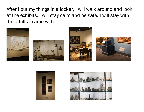After I put my things in a locker, I will walk around and look at the exhibits. I will stay calm and be safe. I will stay with the adults I came with.











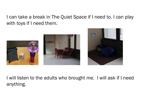I can take a break in The Quiet Space if I need to. I can play with toys if I need them.





I will listen to the adults who brought me. I will ask if I need anything.